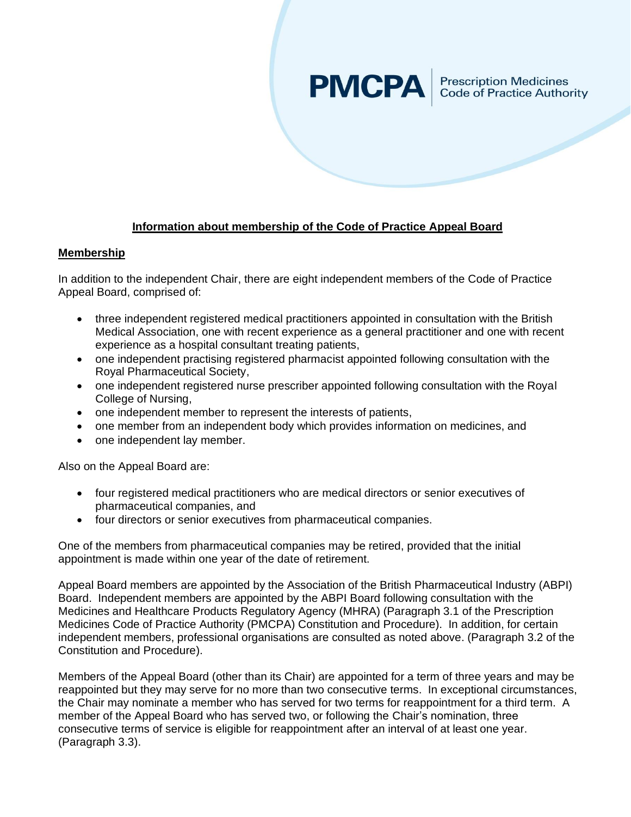# **PMCPA**

Prescription Medicines<br>Code of Practice Authority

# **Information about membership of the Code of Practice Appeal Board**

### **Membership**

In addition to the independent Chair, there are eight independent members of the Code of Practice Appeal Board, comprised of:

- three independent registered medical practitioners appointed in consultation with the British Medical Association, one with recent experience as a general practitioner and one with recent experience as a hospital consultant treating patients,
- one independent practising registered pharmacist appointed following consultation with the Royal Pharmaceutical Society,
- one independent registered nurse prescriber appointed following consultation with the Royal College of Nursing,
- one independent member to represent the interests of patients,
- one member from an independent body which provides information on medicines, and
- one independent lay member.

Also on the Appeal Board are:

- four registered medical practitioners who are medical directors or senior executives of pharmaceutical companies, and
- four directors or senior executives from pharmaceutical companies.

One of the members from pharmaceutical companies may be retired, provided that the initial appointment is made within one year of the date of retirement.

Appeal Board members are appointed by the Association of the British Pharmaceutical Industry (ABPI) Board. Independent members are appointed by the ABPI Board following consultation with the Medicines and Healthcare Products Regulatory Agency (MHRA) (Paragraph 3.1 of the Prescription Medicines Code of Practice Authority (PMCPA) Constitution and Procedure). In addition, for certain independent members, professional organisations are consulted as noted above. (Paragraph 3.2 of the Constitution and Procedure).

Members of the Appeal Board (other than its Chair) are appointed for a term of three years and may be reappointed but they may serve for no more than two consecutive terms. In exceptional circumstances, the Chair may nominate a member who has served for two terms for reappointment for a third term. A member of the Appeal Board who has served two, or following the Chair's nomination, three consecutive terms of service is eligible for reappointment after an interval of at least one year. (Paragraph 3.3).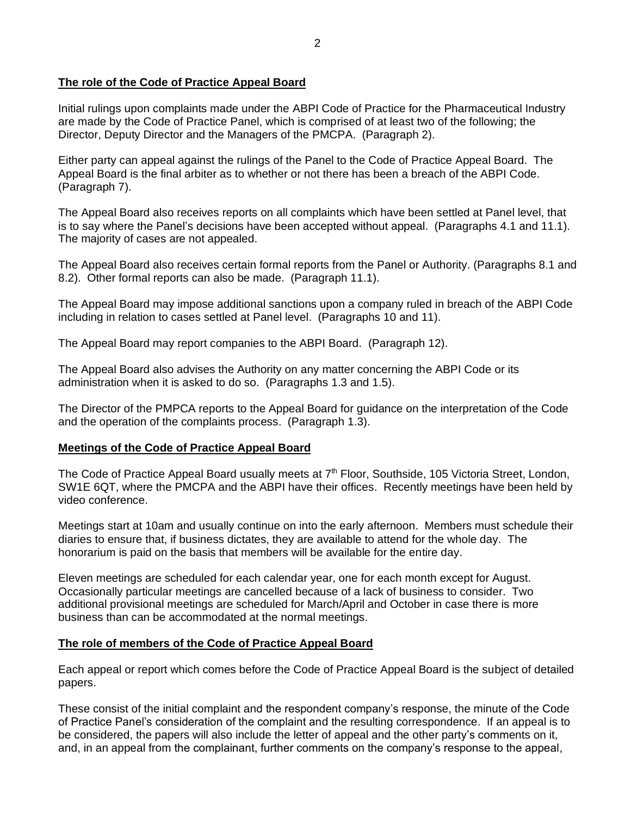## **The role of the Code of Practice Appeal Board**

Initial rulings upon complaints made under the ABPI Code of Practice for the Pharmaceutical Industry are made by the Code of Practice Panel, which is comprised of at least two of the following; the Director, Deputy Director and the Managers of the PMCPA. (Paragraph 2).

Either party can appeal against the rulings of the Panel to the Code of Practice Appeal Board. The Appeal Board is the final arbiter as to whether or not there has been a breach of the ABPI Code. (Paragraph 7).

The Appeal Board also receives reports on all complaints which have been settled at Panel level, that is to say where the Panel's decisions have been accepted without appeal. (Paragraphs 4.1 and 11.1). The majority of cases are not appealed.

The Appeal Board also receives certain formal reports from the Panel or Authority. (Paragraphs 8.1 and 8.2). Other formal reports can also be made. (Paragraph 11.1).

The Appeal Board may impose additional sanctions upon a company ruled in breach of the ABPI Code including in relation to cases settled at Panel level. (Paragraphs 10 and 11).

The Appeal Board may report companies to the ABPI Board. (Paragraph 12).

The Appeal Board also advises the Authority on any matter concerning the ABPI Code or its administration when it is asked to do so. (Paragraphs 1.3 and 1.5).

The Director of the PMPCA reports to the Appeal Board for guidance on the interpretation of the Code and the operation of the complaints process. (Paragraph 1.3).

### **Meetings of the Code of Practice Appeal Board**

The Code of Practice Appeal Board usually meets at 7<sup>th</sup> Floor, Southside, 105 Victoria Street, London, SW1E 6QT, where the PMCPA and the ABPI have their offices. Recently meetings have been held by video conference.

Meetings start at 10am and usually continue on into the early afternoon. Members must schedule their diaries to ensure that, if business dictates, they are available to attend for the whole day. The honorarium is paid on the basis that members will be available for the entire day.

Eleven meetings are scheduled for each calendar year, one for each month except for August. Occasionally particular meetings are cancelled because of a lack of business to consider. Two additional provisional meetings are scheduled for March/April and October in case there is more business than can be accommodated at the normal meetings.

### **The role of members of the Code of Practice Appeal Board**

Each appeal or report which comes before the Code of Practice Appeal Board is the subject of detailed papers.

These consist of the initial complaint and the respondent company's response, the minute of the Code of Practice Panel's consideration of the complaint and the resulting correspondence. If an appeal is to be considered, the papers will also include the letter of appeal and the other party's comments on it, and, in an appeal from the complainant, further comments on the company's response to the appeal,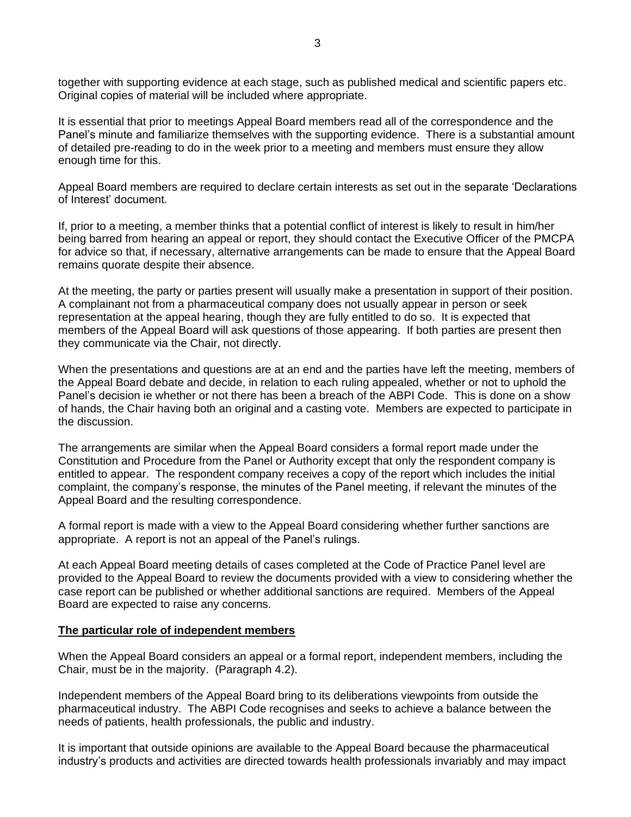together with supporting evidence at each stage, such as published medical and scientific papers etc. Original copies of material will be included where appropriate.

It is essential that prior to meetings Appeal Board members read all of the correspondence and the Panel's minute and familiarize themselves with the supporting evidence. There is a substantial amount of detailed pre-reading to do in the week prior to a meeting and members must ensure they allow enough time for this.

Appeal Board members are required to declare certain interests as set out in the separate 'Declarations of Interest' document.

If, prior to a meeting, a member thinks that a potential conflict of interest is likely to result in him/her being barred from hearing an appeal or report, they should contact the Executive Officer of the PMCPA for advice so that, if necessary, alternative arrangements can be made to ensure that the Appeal Board remains quorate despite their absence.

At the meeting, the party or parties present will usually make a presentation in support of their position. A complainant not from a pharmaceutical company does not usually appear in person or seek representation at the appeal hearing, though they are fully entitled to do so. It is expected that members of the Appeal Board will ask questions of those appearing. If both parties are present then they communicate via the Chair, not directly.

When the presentations and questions are at an end and the parties have left the meeting, members of the Appeal Board debate and decide, in relation to each ruling appealed, whether or not to uphold the Panel's decision ie whether or not there has been a breach of the ABPI Code. This is done on a show of hands, the Chair having both an original and a casting vote. Members are expected to participate in the discussion.

The arrangements are similar when the Appeal Board considers a formal report made under the Constitution and Procedure from the Panel or Authority except that only the respondent company is entitled to appear. The respondent company receives a copy of the report which includes the initial complaint, the company's response, the minutes of the Panel meeting, if relevant the minutes of the Appeal Board and the resulting correspondence.

A formal report is made with a view to the Appeal Board considering whether further sanctions are appropriate. A report is not an appeal of the Panel's rulings.

At each Appeal Board meeting details of cases completed at the Code of Practice Panel level are provided to the Appeal Board to review the documents provided with a view to considering whether the case report can be published or whether additional sanctions are required. Members of the Appeal Board are expected to raise any concerns.

#### **The particular role of independent members**

When the Appeal Board considers an appeal or a formal report, independent members, including the Chair, must be in the majority. (Paragraph 4.2).

Independent members of the Appeal Board bring to its deliberations viewpoints from outside the pharmaceutical industry. The ABPI Code recognises and seeks to achieve a balance between the needs of patients, health professionals, the public and industry.

It is important that outside opinions are available to the Appeal Board because the pharmaceutical industry's products and activities are directed towards health professionals invariably and may impact